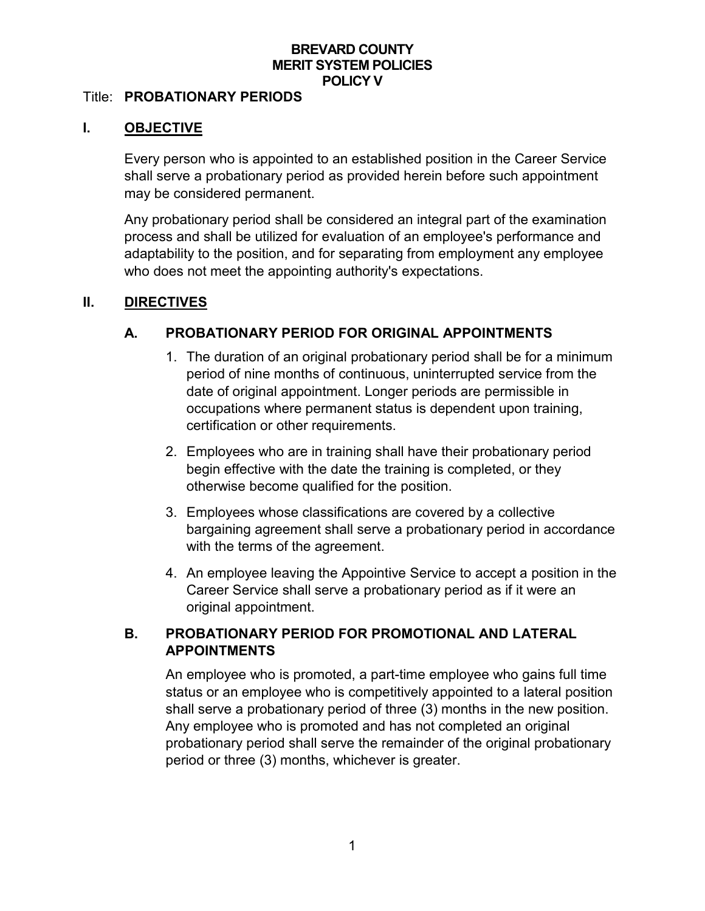#### **BREVARD COUNTY MERIT SYSTEM POLICIES POLICY V**

#### Title: **PROBATIONARY PERIODS**

#### **I. OBJECTIVE**

Every person who is appointed to an established position in the Career Service shall serve a probationary period as provided herein before such appointment may be considered permanent.

Any probationary period shall be considered an integral part of the examination process and shall be utilized for evaluation of an employee's performance and adaptability to the position, and for separating from employment any employee who does not meet the appointing authority's expectations.

#### **II. DIRECTIVES**

#### **A. PROBATIONARY PERIOD FOR ORIGINAL APPOINTMENTS**

- 1. The duration of an original probationary period shall be for a minimum period of nine months of continuous, uninterrupted service from the date of original appointment. Longer periods are permissible in occupations where permanent status is dependent upon training, certification or other requirements.
- 2. Employees who are in training shall have their probationary period begin effective with the date the training is completed, or they otherwise become qualified for the position.
- 3. Employees whose classifications are covered by a collective bargaining agreement shall serve a probationary period in accordance with the terms of the agreement.
- 4. An employee leaving the Appointive Service to accept a position in the Career Service shall serve a probationary period as if it were an original appointment.

### **B. PROBATIONARY PERIOD FOR PROMOTIONAL AND LATERAL APPOINTMENTS**

An employee who is promoted, a part-time employee who gains full time status or an employee who is competitively appointed to a lateral position shall serve a probationary period of three (3) months in the new position. Any employee who is promoted and has not completed an original probationary period shall serve the remainder of the original probationary period or three (3) months, whichever is greater.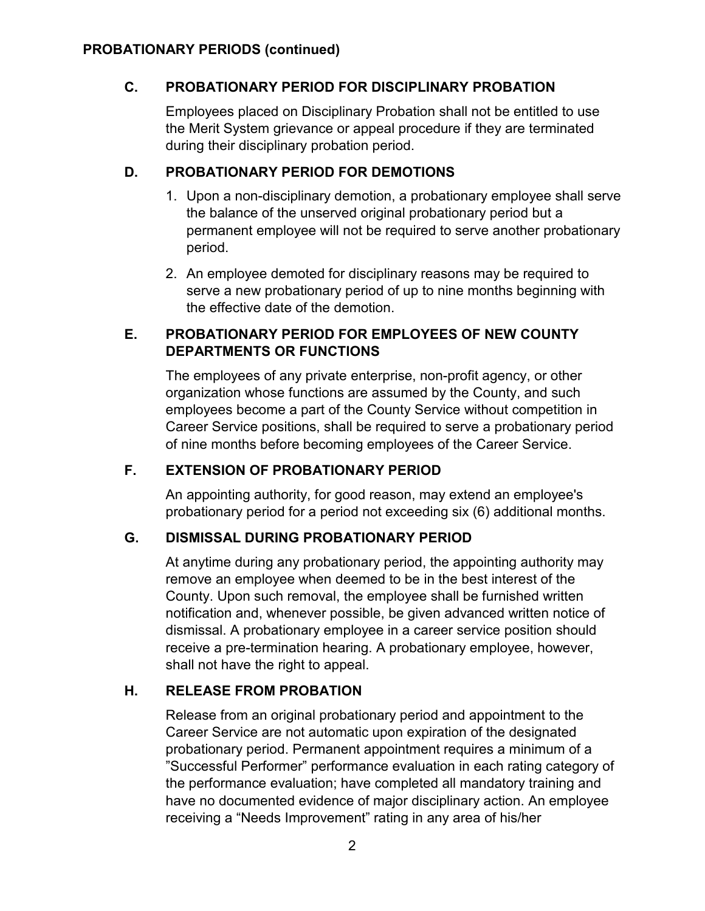# **C. PROBATIONARY PERIOD FOR DISCIPLINARY PROBATION**

Employees placed on Disciplinary Probation shall not be entitled to use the Merit System grievance or appeal procedure if they are terminated during their disciplinary probation period.

## **D. PROBATIONARY PERIOD FOR DEMOTIONS**

- 1. Upon a non-disciplinary demotion, a probationary employee shall serve the balance of the unserved original probationary period but a permanent employee will not be required to serve another probationary period.
- 2. An employee demoted for disciplinary reasons may be required to serve a new probationary period of up to nine months beginning with the effective date of the demotion.

# **E. PROBATIONARY PERIOD FOR EMPLOYEES OF NEW COUNTY DEPARTMENTS OR FUNCTIONS**

The employees of any private enterprise, non-profit agency, or other organization whose functions are assumed by the County, and such employees become a part of the County Service without competition in Career Service positions, shall be required to serve a probationary period of nine months before becoming employees of the Career Service.

# **F. EXTENSION OF PROBATIONARY PERIOD**

An appointing authority, for good reason, may extend an employee's probationary period for a period not exceeding six (6) additional months.

### **G. DISMISSAL DURING PROBATIONARY PERIOD**

At anytime during any probationary period, the appointing authority may remove an employee when deemed to be in the best interest of the County. Upon such removal, the employee shall be furnished written notification and, whenever possible, be given advanced written notice of dismissal. A probationary employee in a career service position should receive a pre-termination hearing. A probationary employee, however, shall not have the right to appeal.

### **H. RELEASE FROM PROBATION**

Release from an original probationary period and appointment to the Career Service are not automatic upon expiration of the designated probationary period. Permanent appointment requires a minimum of a "Successful Performer" performance evaluation in each rating category of the performance evaluation; have completed all mandatory training and have no documented evidence of major disciplinary action. An employee receiving a "Needs Improvement" rating in any area of his/her